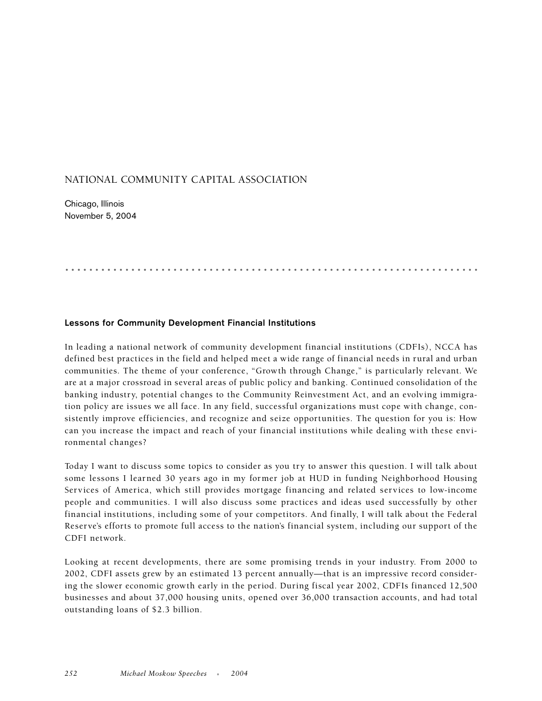## NATIONAL COMMUNITY CAPITAL ASSOCIATION

Chicago, Illinois November 5, 2004

## **Lessons for Community Development Financial Institutions**

In leading a national network of community development financial institutions (CDFIs), NCCA has defined best practices in the field and helped meet a wide range of financial needs in rural and urban communities. The theme of your conference, "Growth through Change," is particularly relevant. We are at a major crossroad in several areas of public policy and banking. Continued consolidation of the banking industry, potential changes to the Community Reinvestment Act, and an evolving immigration policy are issues we all face. In any field, successful organizations must cope with change, consistently improve efficiencies, and recognize and seize opportunities. The question for you is: How can you increase the impact and reach of your financial institutions while dealing with these environmental changes?

.....................................................................

Today I want to discuss some topics to consider as you try to answer this question. I will talk about some lessons I learned 30 years ago in my former job at HUD in funding Neighborhood Housing Services of America, which still provides mortgage financing and related services to low-income people and communities. I will also discuss some practices and ideas used successfully by other financial institutions, including some of your competitors. And finally, I will talk about the Federal Reserve's efforts to promote full access to the nation's financial system, including our support of the CDFI network.

Looking at recent developments, there are some promising trends in your industry. From 2000 to 2002, CDFI assets grew by an estimated 13 percent annually—that is an impressive record considering the slower economic growth early in the period. During fiscal year 2002, CDFIs financed 12,500 businesses and about 37,000 housing units, opened over 36,000 transaction accounts, and had total outstanding loans of \$2.3 billion.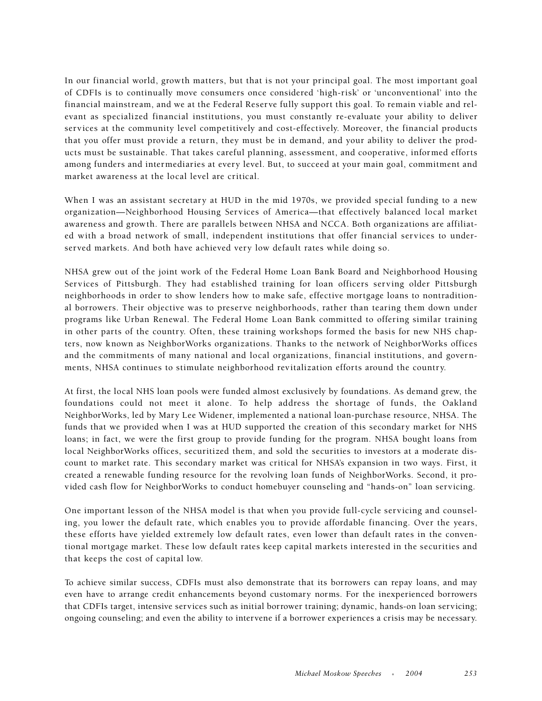In our financial world, growth matters, but that is not your principal goal. The most important goal of CDFIs is to continually move consumers once considered 'high-risk' or 'unconventional' into the financial mainstream, and we at the Federal Reserve fully support this goal. To remain viable and relevant as specialized financial institutions, you must constantly re-evaluate your ability to deliver services at the community level competitively and cost-effectively. Moreover, the financial products that you offer must provide a return, they must be in demand, and your ability to deliver the products must be sustainable. That takes careful planning, assessment, and cooperative, informed efforts among funders and intermediaries at every level. But, to succeed at your main goal, commitment and market awareness at the local level are critical.

When I was an assistant secretary at HUD in the mid 1970s, we provided special funding to a new organization—Neighborhood Housing Services of America—that effectively balanced local market awareness and growth. There are parallels between NHSA and NCCA. Both organizations are affiliated with a broad network of small, independent institutions that offer financial services to underserved markets. And both have achieved very low default rates while doing so.

NHSA grew out of the joint work of the Federal Home Loan Bank Board and Neighborhood Housing Services of Pittsburgh. They had established training for loan officers serving older Pittsburgh neighborhoods in order to show lenders how to make safe, effective mortgage loans to nontraditional borrowers. Their objective was to preserve neighborhoods, rather than tearing them down under programs like Urban Renewal. The Federal Home Loan Bank committed to offering similar training in other parts of the country. Often, these training workshops formed the basis for new NHS chapters, now known as NeighborWorks organizations. Thanks to the network of NeighborWorks offices and the commitments of many national and local organizations, financial institutions, and governments, NHSA continues to stimulate neighborhood revitalization efforts around the country.

At first, the local NHS loan pools were funded almost exclusively by foundations. As demand grew, the foundations could not meet it alone. To help address the shortage of funds, the Oakland NeighborWorks, led by Mary Lee Widener, implemented a national loan-purchase resource, NHSA. The funds that we provided when I was at HUD supported the creation of this secondary market for NHS loans; in fact, we were the first group to provide funding for the program. NHSA bought loans from local NeighborWorks offices, securitized them, and sold the securities to investors at a moderate discount to market rate. This secondary market was critical for NHSA's expansion in two ways. First, it created a renewable funding resource for the revolving loan funds of NeighborWorks. Second, it provided cash flow for NeighborWorks to conduct homebuyer counseling and "hands-on" loan servicing.

One important lesson of the NHSA model is that when you provide full-cycle servicing and counseling, you lower the default rate, which enables you to provide affordable financing. Over the years, these efforts have yielded extremely low default rates, even lower than default rates in the conventional mortgage market. These low default rates keep capital markets interested in the securities and that keeps the cost of capital low.

To achieve similar success, CDFIs must also demonstrate that its borrowers can repay loans, and may even have to arrange credit enhancements beyond customary norms. For the inexperienced borrowers that CDFIs target, intensive services such as initial borrower training; dynamic, hands-on loan servicing; ongoing counseling; and even the ability to intervene if a borrower experiences a crisis may be necessary.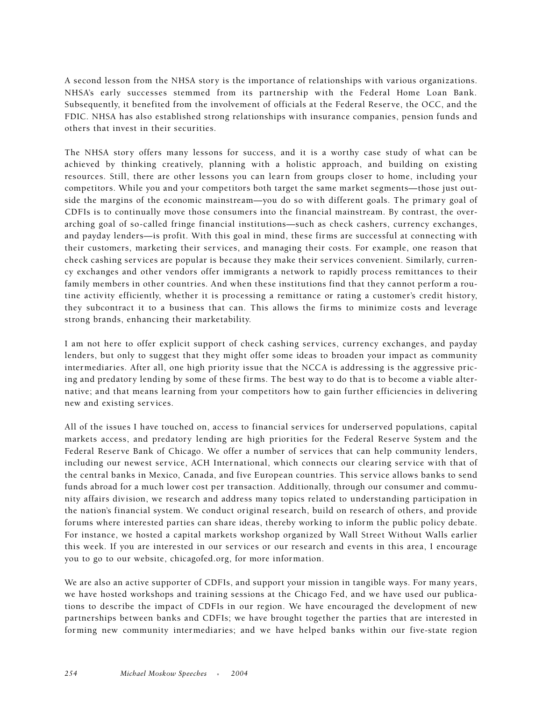A second lesson from the NHSA story is the importance of relationships with various organizations. NHSA's early successes stemmed from its partnership with the Federal Home Loan Bank. Subsequently, it benefited from the involvement of officials at the Federal Reserve, the OCC, and the FDIC. NHSA has also established strong relationships with insurance companies, pension funds and others that invest in their securities.

The NHSA story offers many lessons for success, and it is a worthy case study of what can be achieved by thinking creatively, planning with a holistic approach, and building on existing resources. Still, there are other lessons you can learn from groups closer to home, including your competitors. While you and your competitors both target the same market segments—those just outside the margins of the economic mainstream—you do so with different goals. The primary goal of CDFIs is to continually move those consumers into the financial mainstream. By contrast, the overarching goal of so-called fringe financial institutions—such as check cashers, currency exchanges, and payday lenders—is profit. With this goal in mind, these firms are successful at connecting with their customers, marketing their services, and managing their costs. For example, one reason that check cashing services are popular is because they make their services convenient. Similarly, currency exchanges and other vendors offer immigrants a network to rapidly process remittances to their family members in other countries. And when these institutions find that they cannot perform a routine activity efficiently, whether it is processing a remittance or rating a customer's credit history, they subcontract it to a business that can. This allows the firms to minimize costs and leverage strong brands, enhancing their marketability.

I am not here to offer explicit support of check cashing services, currency exchanges, and payday lenders, but only to suggest that they might offer some ideas to broaden your impact as community intermediaries. After all, one high priority issue that the NCCA is addressing is the aggressive pricing and predatory lending by some of these firms. The best way to do that is to become a viable alternative; and that means learning from your competitors how to gain further efficiencies in delivering new and existing services.

All of the issues I have touched on, access to financial services for underserved populations, capital markets access, and predatory lending are high priorities for the Federal Reserve System and the Federal Reserve Bank of Chicago. We offer a number of services that can help community lenders, including our newest service, ACH International, which connects our clearing service with that of the central banks in Mexico, Canada, and five European countries. This service allows banks to send funds abroad for a much lower cost per transaction. Additionally, through our consumer and community affairs division, we research and address many topics related to understanding participation in the nation's financial system. We conduct original research, build on research of others, and provide forums where interested parties can share ideas, thereby working to inform the public policy debate. For instance, we hosted a capital markets workshop organized by Wall Street Without Walls earlier this week. If you are interested in our services or our research and events in this area, I encourage you to go to our website, chicagofed.org, for more information.

We are also an active supporter of CDFIs, and support your mission in tangible ways. For many years, we have hosted workshops and training sessions at the Chicago Fed, and we have used our publications to describe the impact of CDFIs in our region. We have encouraged the development of new partnerships between banks and CDFIs; we have brought together the parties that are interested in forming new community intermediaries; and we have helped banks within our five-state region